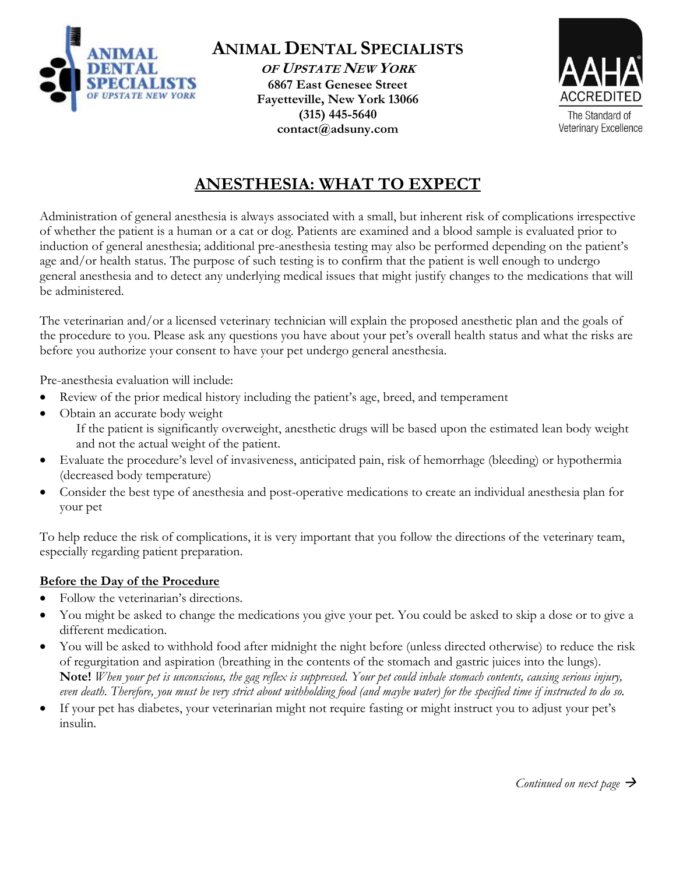

**ANIMAL DENTAL SPECIALISTS OF UPSTATE NEW YORK**

**6867 East Genesee Street Fayetteville, New York 13066 (315) 445-5640 contact@adsuny.com**



# **ANESTHESIA: WHAT TO EXPECT**

Administration of general anesthesia is always associated with a small, but inherent risk of complications irrespective of whether the patient is a human or a cat or dog. Patients are examined and a blood sample is evaluated prior to induction of general anesthesia; additional pre-anesthesia testing may also be performed depending on the patient's age and/or health status. The purpose of such testing is to confirm that the patient is well enough to undergo general anesthesia and to detect any underlying medical issues that might justify changes to the medications that will be administered.

The veterinarian and/or a licensed veterinary technician will explain the proposed anesthetic plan and the goals of the procedure to you. Please ask any questions you have about your pet's overall health status and what the risks are before you authorize your consent to have your pet undergo general anesthesia.

Pre-anesthesia evaluation will include:

- Review of the prior medical history including the patient's age, breed, and temperament
- Obtain an accurate body weight
	- If the patient is significantly overweight, anesthetic drugs will be based upon the estimated lean body weight and not the actual weight of the patient.
- Evaluate the procedure's level of invasiveness, anticipated pain, risk of hemorrhage (bleeding) or hypothermia (decreased body temperature)
- Consider the best type of anesthesia and post-operative medications to create an individual anesthesia plan for your pet

To help reduce the risk of complications, it is very important that you follow the directions of the veterinary team, especially regarding patient preparation.

## **Before the Day of the Procedure**

- Follow the veterinarian's directions.
- You might be asked to change the medications you give your pet. You could be asked to skip a dose or to give a different medication.
- You will be asked to withhold food after midnight the night before (unless directed otherwise) to reduce the risk of regurgitation and aspiration (breathing in the contents of the stomach and gastric juices into the lungs). **Note!** *When your pet is unconscious, the gag reflex is suppressed. Your pet could inhale stomach contents, causing serious injury, even death. Therefore, you must be very strict about withholding food (and maybe water) for the specified time if instructed to do so.*
- If your pet has diabetes, your veterinarian might not require fasting or might instruct you to adjust your pet's insulin.